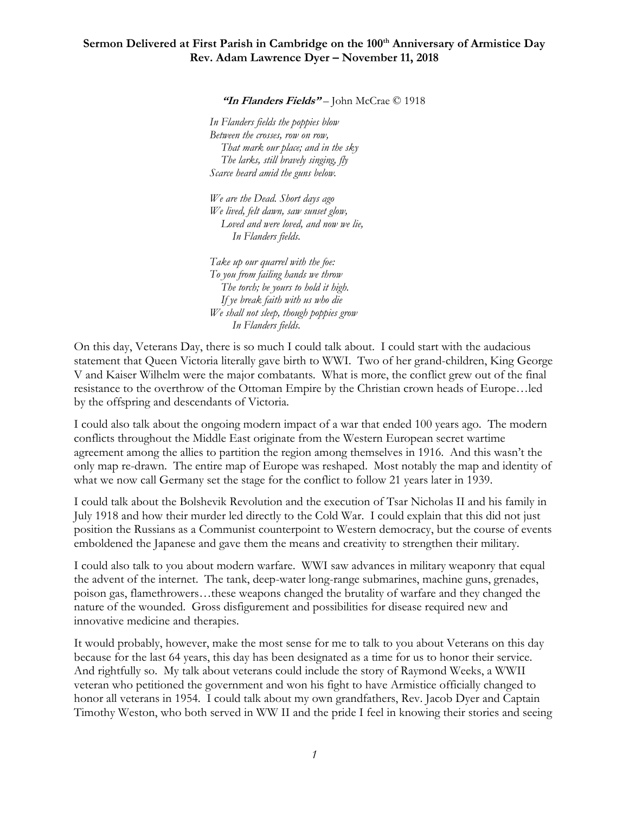## **Sermon Delivered at First Parish in Cambridge on the 100th Anniversary of Armistice Day Rev. Adam Lawrence Dyer – November 11, 2018**

**"In Flanders Fields"** – John McCrae © 1918

*In Flanders fields the poppies blow Between the crosses, row on row, That mark our place; and in the sky The larks, still bravely singing, fly Scarce heard amid the guns below.*

*We are the Dead. Short days ago We lived, felt dawn, saw sunset glow, Loved and were loved, and now we lie, In Flanders fields.*

*Take up our quarrel with the foe: To you from failing hands we throw The torch; be yours to hold it high. If ye break faith with us who die We shall not sleep, though poppies grow In Flanders fields.*

On this day, Veterans Day, there is so much I could talk about. I could start with the audacious statement that Queen Victoria literally gave birth to WWI. Two of her grand-children, King George V and Kaiser Wilhelm were the major combatants. What is more, the conflict grew out of the final resistance to the overthrow of the Ottoman Empire by the Christian crown heads of Europe…led by the offspring and descendants of Victoria.

I could also talk about the ongoing modern impact of a war that ended 100 years ago. The modern conflicts throughout the Middle East originate from the Western European secret wartime agreement among the allies to partition the region among themselves in 1916. And this wasn't the only map re-drawn. The entire map of Europe was reshaped. Most notably the map and identity of what we now call Germany set the stage for the conflict to follow 21 years later in 1939.

I could talk about the Bolshevik Revolution and the execution of Tsar Nicholas II and his family in July 1918 and how their murder led directly to the Cold War. I could explain that this did not just position the Russians as a Communist counterpoint to Western democracy, but the course of events emboldened the Japanese and gave them the means and creativity to strengthen their military.

I could also talk to you about modern warfare. WWI saw advances in military weaponry that equal the advent of the internet. The tank, deep-water long-range submarines, machine guns, grenades, poison gas, flamethrowers…these weapons changed the brutality of warfare and they changed the nature of the wounded. Gross disfigurement and possibilities for disease required new and innovative medicine and therapies.

It would probably, however, make the most sense for me to talk to you about Veterans on this day because for the last 64 years, this day has been designated as a time for us to honor their service. And rightfully so. My talk about veterans could include the story of Raymond Weeks, a WWII veteran who petitioned the government and won his fight to have Armistice officially changed to honor all veterans in 1954. I could talk about my own grandfathers, Rev. Jacob Dyer and Captain Timothy Weston, who both served in WW II and the pride I feel in knowing their stories and seeing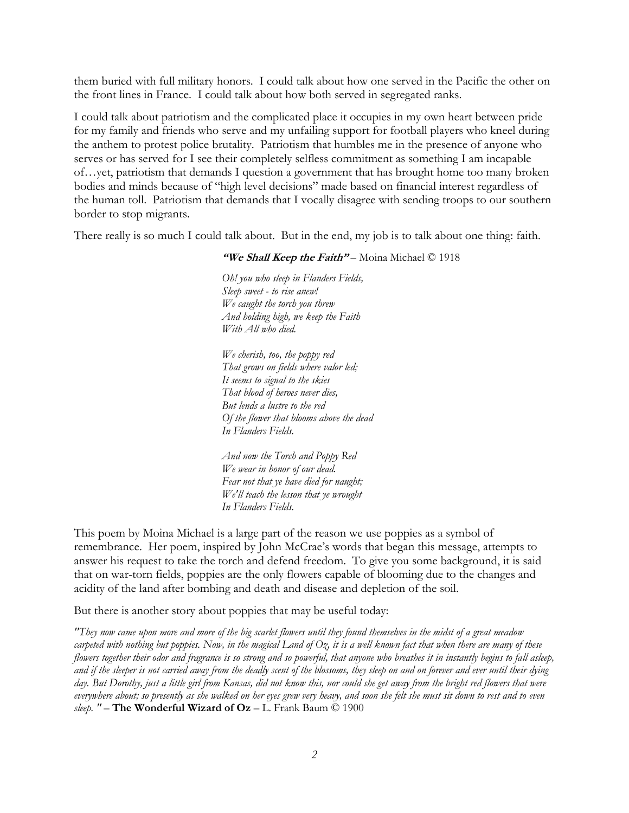them buried with full military honors. I could talk about how one served in the Pacific the other on the front lines in France. I could talk about how both served in segregated ranks.

I could talk about patriotism and the complicated place it occupies in my own heart between pride for my family and friends who serve and my unfailing support for football players who kneel during the anthem to protest police brutality. Patriotism that humbles me in the presence of anyone who serves or has served for I see their completely selfless commitment as something I am incapable of…yet, patriotism that demands I question a government that has brought home too many broken bodies and minds because of "high level decisions" made based on financial interest regardless of the human toll. Patriotism that demands that I vocally disagree with sending troops to our southern border to stop migrants.

There really is so much I could talk about. But in the end, my job is to talk about one thing: faith.

"We Shall Keep the Faith" – Moina Michael © 1918

*Oh! you who sleep in Flanders Fields, Sleep sweet - to rise anew! We caught the torch you threw And holding high, we keep the Faith With All who died.*

*We cherish, too, the poppy red That grows on fields where valor led; It seems to signal to the skies That blood of heroes never dies, But lends a lustre to the red Of the flower that blooms above the dead In Flanders Fields.*

*And now the Torch and Poppy Red We wear in honor of our dead. Fear not that ye have died for naught; We'll teach the lesson that ye wrought In Flanders Fields.*

This poem by Moina Michael is a large part of the reason we use poppies as a symbol of remembrance. Her poem, inspired by John McCrae's words that began this message, attempts to answer his request to take the torch and defend freedom. To give you some background, it is said that on war-torn fields, poppies are the only flowers capable of blooming due to the changes and acidity of the land after bombing and death and disease and depletion of the soil.

But there is another story about poppies that may be useful today:

*"They now came upon more and more of the big scarlet flowers until they found themselves in the midst of a great meadow carpeted with nothing but poppies. Now, in the magical Land of Oz, it is a well known fact that when there are many of these flowers together their odor and fragrance is so strong and so powerful, that anyone who breathes it in instantly begins to fall asleep, and if the sleeper is not carried away from the deadly scent of the blossoms, they sleep on and on forever and ever until their dying*  day. But Dorothy, just a little girl from Kansas, did not know this, nor could she get away from the bright red flowers that were *everywhere about; so presently as she walked on her eyes grew very heavy, and soon she felt she must sit down to rest and to even sleep. "* – **The Wonderful Wizard of Oz** – L. Frank Baum © 1900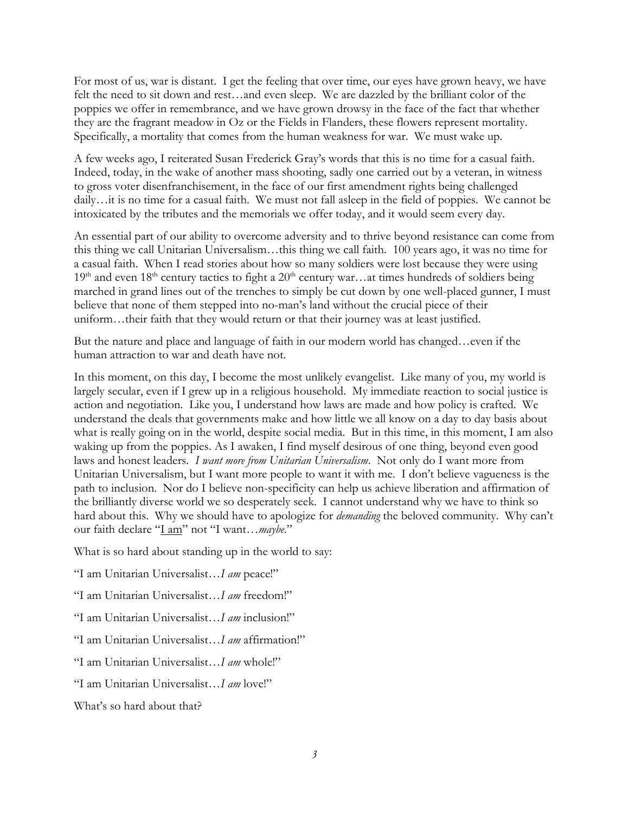For most of us, war is distant. I get the feeling that over time, our eyes have grown heavy, we have felt the need to sit down and rest…and even sleep. We are dazzled by the brilliant color of the poppies we offer in remembrance, and we have grown drowsy in the face of the fact that whether they are the fragrant meadow in Oz or the Fields in Flanders, these flowers represent mortality. Specifically, a mortality that comes from the human weakness for war. We must wake up.

A few weeks ago, I reiterated Susan Frederick Gray's words that this is no time for a casual faith. Indeed, today, in the wake of another mass shooting, sadly one carried out by a veteran, in witness to gross voter disenfranchisement, in the face of our first amendment rights being challenged daily…it is no time for a casual faith. We must not fall asleep in the field of poppies. We cannot be intoxicated by the tributes and the memorials we offer today, and it would seem every day.

An essential part of our ability to overcome adversity and to thrive beyond resistance can come from this thing we call Unitarian Universalism…this thing we call faith. 100 years ago, it was no time for a casual faith. When I read stories about how so many soldiers were lost because they were using  $19<sup>th</sup>$  and even  $18<sup>th</sup>$  century tactics to fight a  $20<sup>th</sup>$  century war…at times hundreds of soldiers being marched in grand lines out of the trenches to simply be cut down by one well-placed gunner, I must believe that none of them stepped into no-man's land without the crucial piece of their uniform…their faith that they would return or that their journey was at least justified.

But the nature and place and language of faith in our modern world has changed…even if the human attraction to war and death have not.

In this moment, on this day, I become the most unlikely evangelist. Like many of you, my world is largely secular, even if I grew up in a religious household. My immediate reaction to social justice is action and negotiation. Like you, I understand how laws are made and how policy is crafted. We understand the deals that governments make and how little we all know on a day to day basis about what is really going on in the world, despite social media. But in this time, in this moment, I am also waking up from the poppies. As I awaken, I find myself desirous of one thing, beyond even good laws and honest leaders. *I want more from Unitarian Universalism*. Not only do I want more from Unitarian Universalism, but I want more people to want it with me. I don't believe vagueness is the path to inclusion. Nor do I believe non-specificity can help us achieve liberation and affirmation of the brilliantly diverse world we so desperately seek. I cannot understand why we have to think so hard about this. Why we should have to apologize for *demanding* the beloved community. Why can't our faith declare "I am" not "I want…*maybe*."

What is so hard about standing up in the world to say:

"I am Unitarian Universalist…*I am* peace!"

"I am Unitarian Universalist…*I am* freedom!"

"I am Unitarian Universalist…*I am* inclusion!"

"I am Unitarian Universalist…*I am* affirmation!"

"I am Unitarian Universalist…*I am* whole!"

"I am Unitarian Universalist…*I am* love!"

What's so hard about that?